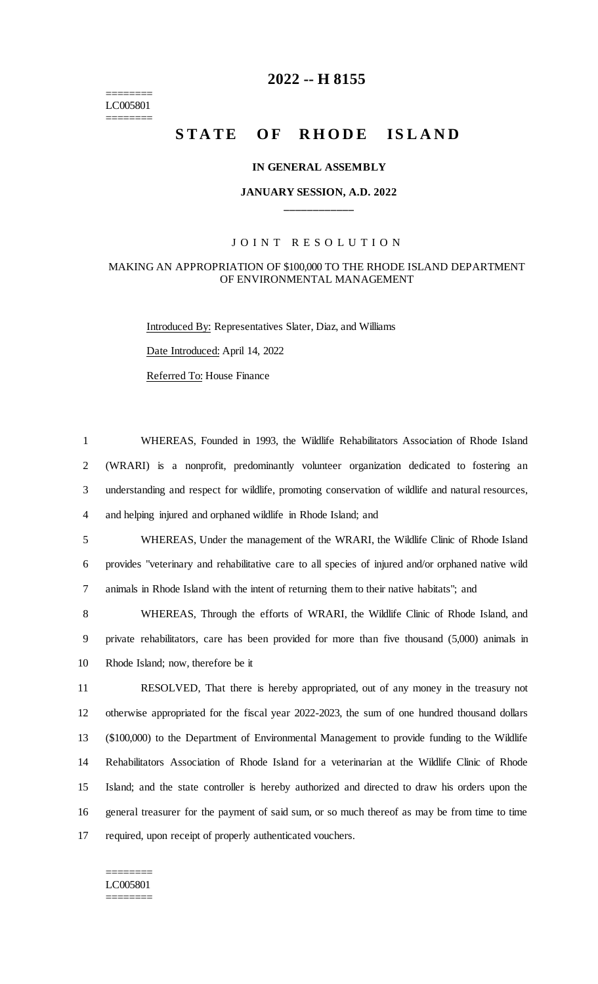======== LC005801 ========

# **2022 -- H 8155**

# **STATE OF RHODE ISLAND**

#### **IN GENERAL ASSEMBLY**

#### **JANUARY SESSION, A.D. 2022 \_\_\_\_\_\_\_\_\_\_\_\_**

#### JOINT RESOLUTION

#### MAKING AN APPROPRIATION OF \$100,000 TO THE RHODE ISLAND DEPARTMENT OF ENVIRONMENTAL MANAGEMENT

Introduced By: Representatives Slater, Diaz, and Williams

Date Introduced: April 14, 2022

Referred To: House Finance

 WHEREAS, Founded in 1993, the Wildlife Rehabilitators Association of Rhode Island (WRARI) is a nonprofit, predominantly volunteer organization dedicated to fostering an understanding and respect for wildlife, promoting conservation of wildlife and natural resources, and helping injured and orphaned wildlife in Rhode Island; and WHEREAS, Under the management of the WRARI, the Wildlife Clinic of Rhode Island provides "veterinary and rehabilitative care to all species of injured and/or orphaned native wild animals in Rhode Island with the intent of returning them to their native habitats"; and WHEREAS, Through the efforts of WRARI, the Wildlife Clinic of Rhode Island, and private rehabilitators, care has been provided for more than five thousand (5,000) animals in Rhode Island; now, therefore be it RESOLVED, That there is hereby appropriated, out of any money in the treasury not otherwise appropriated for the fiscal year 2022-2023, the sum of one hundred thousand dollars (\$100,000) to the Department of Environmental Management to provide funding to the Wildlife Rehabilitators Association of Rhode Island for a veterinarian at the Wildlife Clinic of Rhode Island; and the state controller is hereby authorized and directed to draw his orders upon the general treasurer for the payment of said sum, or so much thereof as may be from time to time

17 required, upon receipt of properly authenticated vouchers.

======== LC005801 ========